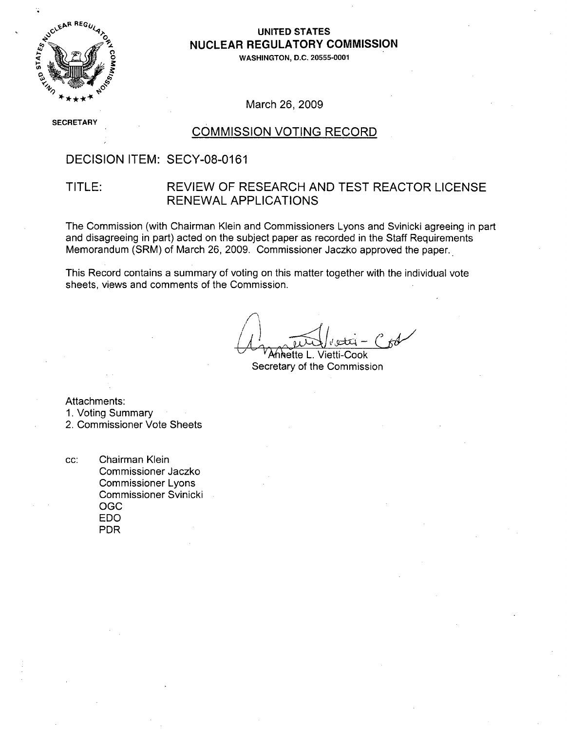

## **UNITED STATES** NUCLEAR REGULATORY COMMISSION

**<sup>0</sup> 0 WASHINGTON, D.C. 20555-0001**

March 26, 2009

**SEC ;RETARY**

#### COMMISSION VOTING RECORD

### DECISION ITEM: SECY-08-0161

## TITLE: REVIEW OF RESEARCH AND TEST REACTOR LICENSE RENEWAL APPLICATIONS

The Commission (with Chairman Klein and Commissioners Lyons and Svinicki agreeing in part and disagreeing in part) acted on the subject paper as recorded in the Staff Requirements Memorandum (SRM) of March 26, 2009. Commissioner Jaczko approved the paper.

This Record contains a summary of voting on this matter together with the individual vote sheets, views and comments of the Commission.

Annette L. Vietti-Cook Secretary of the Commission

Attachments:

1. Voting Summary

2. Commissioner Vote Sheets

cc: Chairman Klein Commissioner Jaczko Commissioner Lyons Commissioner Svinicki OGC EDO PDR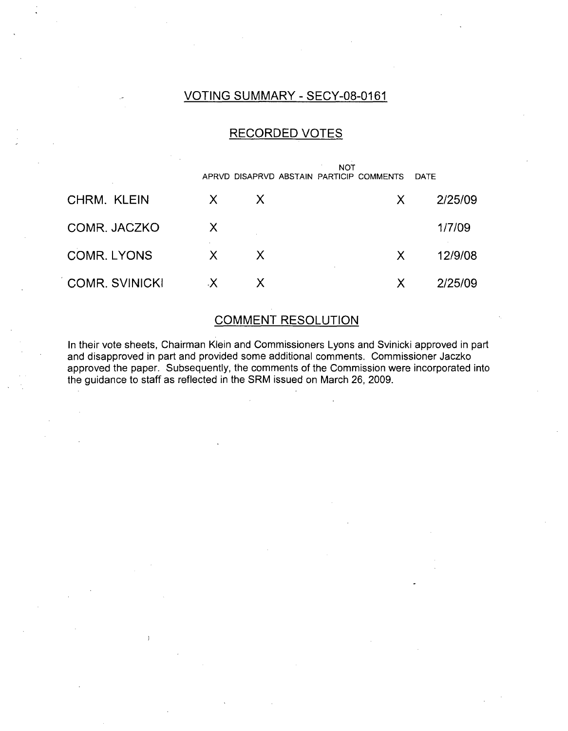## VOTING SUMMARY - SECY-08-0161

## RECORDED VOTES

|                       | <b>NOT</b><br>APRVD DISAPRVD ABSTAIN PARTICIP COMMENTS<br>DATE |              |  |              |         |
|-----------------------|----------------------------------------------------------------|--------------|--|--------------|---------|
|                       |                                                                |              |  |              |         |
| CHRM. KLEIN           | X.                                                             | $\mathsf{X}$ |  | $\mathsf{X}$ | 2/25/09 |
| COMR. JACZKO          | X                                                              |              |  |              | 1/7/09  |
| <b>COMR. LYONS</b>    | X.                                                             | $\mathsf{X}$ |  | X            | 12/9/08 |
| <b>COMR. SVINICKI</b> | X.                                                             | X.           |  | X            | 2/25/09 |

# COMMENT RESOLUTION

In their vote sheets, Chairman Klein and Commissioners Lyons and Svinicki approved in part and disapproved in part and provided some additional comments. Commissioner Jaczko approved the paper. Subsequently, the comments of the Commission were incorporated into the guidance to staff as reflected in the SRM issued on March 26, 2009.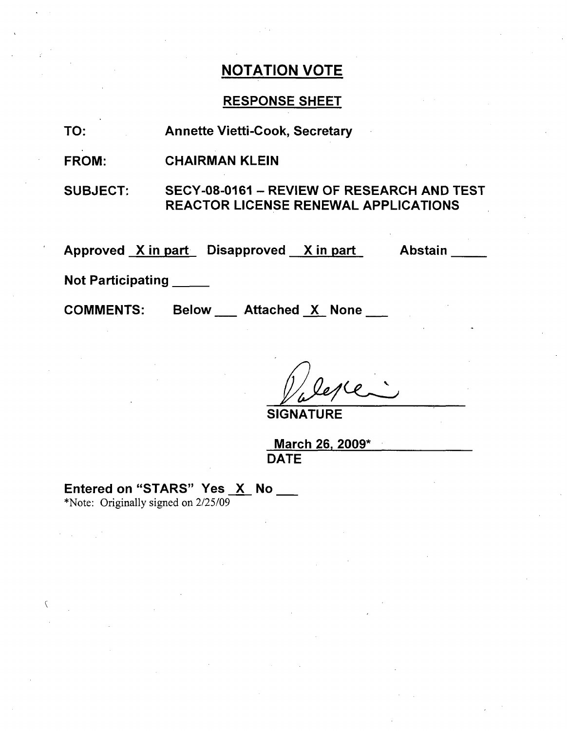# RESPONSE SHEET

TO: Annette Vietti-Cook, Secretary

FROM: CHAIRMAN KLEIN

SUBJECT: SECY-08-0161 - REVIEW OF RESEARCH AND TEST REACTOR LICENSE RENEWAL APPLICATIONS

Approved <u>X in part Disapproved X in part Abstair</u>

Not Participating

COMMENTS:

Below \_\_\_ Attached X None

SIGNATU

March **26,** 2009\* **DATE** 

Entered on "STARS" Yes X No

\*Note: Originally signed on 2/25/09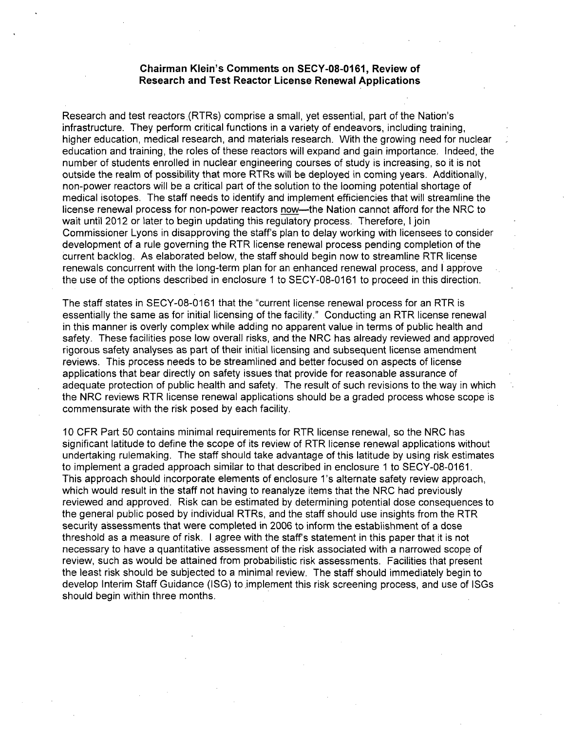#### Chairman Klein's Comments on **SECY-08-0161,** Review of Research and Test Reactor License Renewal Applications

Research and test reactors.(RTRs) comprise a small, yet essential, part of the Nation's infrastructure. They perform critical functions in a variety of endeavors, including training, higher education, medical research, and materials research. With the growing need for nuclear education and training, the roles of these reactors will expand and gain importance. Indeed, the number of students enrolled in nuclear engineering courses of study is increasing, so it is not outside the realm of possibility that more RTRs will be deployed in coming years. Additionally, non-power reactors will be a critical part of the solution to the looming potential shortage of medical isotopes. The staff needs to identify and implement efficiencies that will streamline the license renewal process for non-power reactors now-the Nation cannot afford for the NRC to wait until 2012 or later to begin updating this regulatory process. Therefore, I join Commissioner Lyons in disapproving the staff's plan to delay working with licensees to consider development of a rule governing the RTR license renewal process pending completion of the current backlog. As elaborated below, the staff should begin now to streamline RTR license renewals concurrent with the long-term plan for an enhanced renewal process, and I approve the use of the options described in enclosure **1** to SECY-08-0161 to proceed in this direction.

The staff states in SECY-08-0161 that the "current license renewal process for an RTR is essentially the same as for initial licensing of the facility." Conducting an RTR license renewal in this manner is overly complex while adding no apparent value in terms of public health and safety. These facilities pose low overall risks, and the NRC has already reviewed and approved rigorous safety analyses as part of their initial licensing and subsequent license amendment reviews. This process needs to be streamlined and better focused on aspects of license applications that bear directly on safety issues that provide for reasonable assurance of adequate protection of public health and safety. The result of such revisions to the way in which the NRC reviews RTR license renewal applications should be a graded process whose scope is commensurate with the risk posed by each facility.

10 CFR Part 50 contains minimal requirements for RTR license renewal, so the NRC has significant latitude to define the scope of its review of RTR license renewal applications without undertaking rulemaking. The staff should take advantage of this latitude by using risk estimates to implement a graded approach similar to that described in enclosure 1 to SECY-08-0161. This approach should incorporate elements of enclosure 1's alternate safety review approach, which would result in the staff not having to reanalyze items that the NRC had previously reviewed and approved. Risk can be estimated by determining potential dose consequences to the general public posed by individual RTRs, and the staff should use insights from the RTR security assessments that were completed in 2006 to inform the establishment of a dose threshold as a measure of risk. I agree with the staff's statement in this paper that it is not necessary to have a quantitative assessment of the risk associated with a narrowed scope of review, such as would be attained from probabilistic risk assessments. Facilities that present the least risk should be subjected to a minimal review. The staff should immediately begin to develop Interim Staff Guidance (ISG) to implement this risk screening process, and use of ISGs should begin within three months.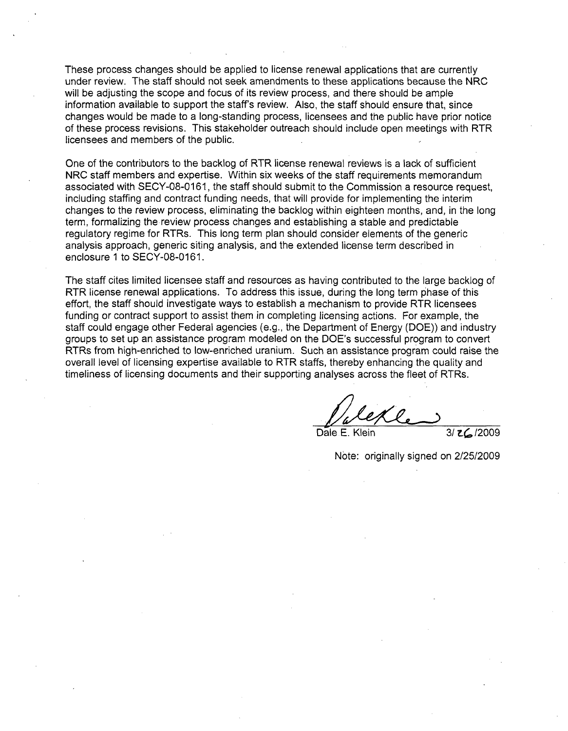These process changes should be applied to license renewal applications that are currently under review. The staff should not seek amendments to these applications because the NRC will be adjusting the scope and focus of its review process, and there should be ample information available to support the staff's review. Also, the staff should ensure that, since changes would be made to a long-standing process, licensees and the public have prior notice of these process revisions. This stakeholder outreach should include open meetings with RTR licensees and members of the public.

One of the contributors to the backlog of RTR license renewal reviews is a lack of sufficient NRC staff members and expertise. Within six weeks of the staff requirements memorandum associated with SECY-08-0161, the staff should submit to the Commission a resource request, including staffing and contract funding needs, that will provide for implementing the interim changes to the review process, eliminating the backlog within eighteen months, and, in the long term, formalizing the review process changes and establishing a stable and predictable regulatory regime for RTRs. This long term plan should consider elements of the generic analysis approach, generic siting analysis, and the extended license term described in enclosure **1** to SECY-08-0161.

The staff cites limited licensee staff and resources as having contributed to the large backlog of RTR license renewal applications. To address this issue, during the 10ng term phase of this effort, the staff should investigate ways to establish a mechanism to provide RTR licensees funding or contract support to assist them in completing licensing actions. For example, the staff could engage other Federal agencies (e.g., the Department of Energy (DOE)) and industry groups to set up an assistance program modeled on the DOE's successful program to convert RTRs from high-enriched to low-enriched uranium. Such an assistance program could raise the overall level of licensing expertise available to RTR staffs, thereby enhancing the quality and timeliness of licensing documents and their supporting analyses across the fleet of RTRs.

 $\frac{1}{\sqrt{2\pi}}$ Dale E. Klein 3/ ZC/2009

Note: originally signed on 2/25/2009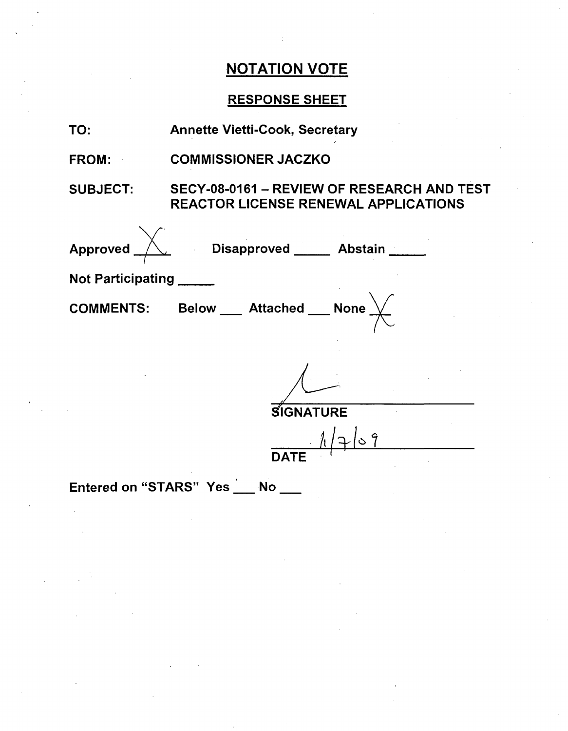# RESPONSE SHEET

| TO:                             | <b>Annette Vietti-Cook, Secretary</b>                                                              |  |  |  |  |
|---------------------------------|----------------------------------------------------------------------------------------------------|--|--|--|--|
| <b>FROM:</b>                    | <b>COMMISSIONER JACZKO</b>                                                                         |  |  |  |  |
|                                 | SUBJECT: SECY-08-0161 - REVIEW OF RESEARCH AND TEST<br><b>REACTOR LICENSE RENEWAL APPLICATIONS</b> |  |  |  |  |
|                                 | Approved $\overbrace{\phantom{a}}$ Disapproved ____ Abstain ____                                   |  |  |  |  |
| Not Participating               |                                                                                                    |  |  |  |  |
|                                 | <b>COMMENTS:</b> Below ___ Attached __ None $\chi$                                                 |  |  |  |  |
|                                 |                                                                                                    |  |  |  |  |
| <b>SIGNATURE</b>                |                                                                                                    |  |  |  |  |
|                                 | $\frac{1}{\text{DATE}}$                                                                            |  |  |  |  |
| Entered on "STARS" Yes __ No __ |                                                                                                    |  |  |  |  |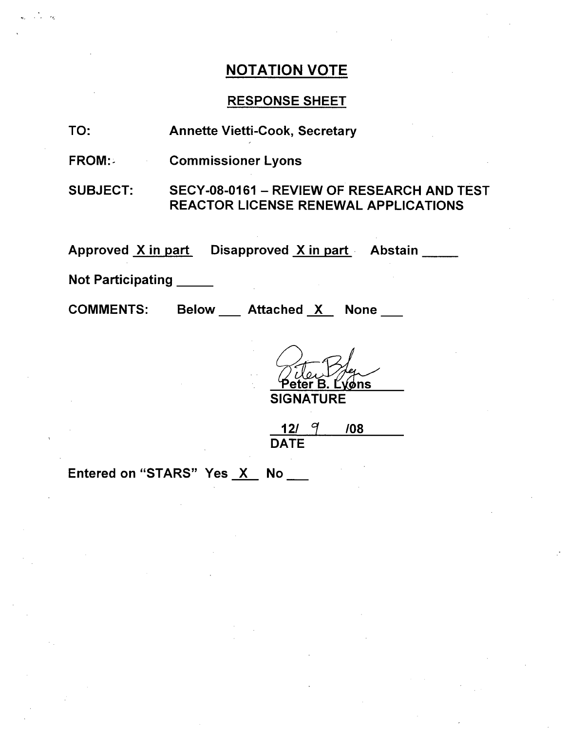# RESPONSE SHEET

TO: Annette Vietti-Cook, Secretary

FROM:- Commissioner Lyons

SUBJECT: SECY-08-0161 - REVIEW OF RESEARCH AND TEST REACTOR LICENSE RENEWAL APPLICATIONS

Approved <u>X in part</u> Disapproved <u>X in part</u> Abstain

Not Participating \_\_\_\_\_

COMMENTS:

Attached X None

Tiler Mer **SIGNATURE** 

12/  $9'$  /08 **DATE** 

Entered on "STARS" Yes X No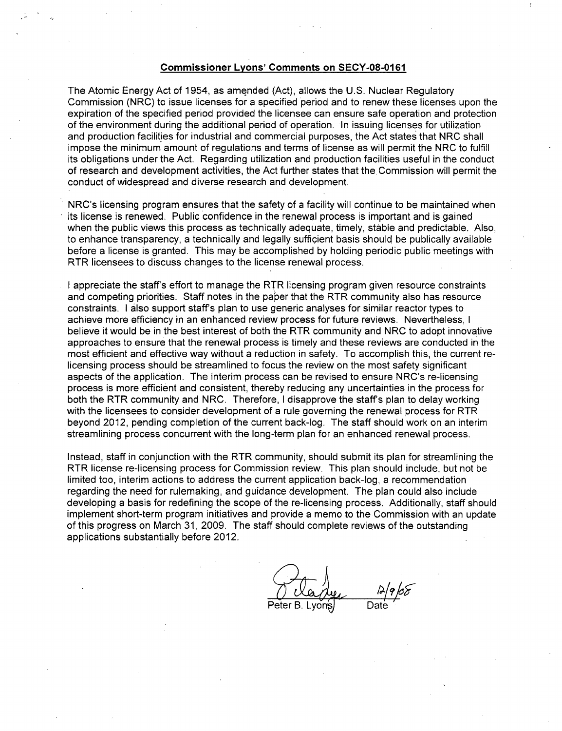#### Commissioner Lyons' Comments on **SECY-08-0161**

The Atomic Energy Act of 1954, as amended (Act), allows the U.S. Nuclear Regulatory Commission (NRC) to issue licenses for a specified period and to renew these licenses upon the expiration of the specified period provided the licensee can ensure safe operation and protection of the environment during the additional period of operation. In issuing licenses for utilization and production facilities for industrial and commercial purposes, the Act states that NRC shall impose the minimum amount of regulations and terms of license as will permit the NRC to fulfill its obligations under the Act. Regarding utilization and production facilities useful in the conduct of research and development activities, the Act further states that theCommission will permit the conduct of widespread and diverse research and development.

NRC's licensing program ensures that the safety of a facility will continue to be maintained when its license is renewed. Public confidence in the renewal process is important and is gained when the public views this process as technically adequate, timely, stable and predictable. Also, to enhance transparency, a technically and legally sufficient basis should be publically available before a license is granted. This may be accomplished by holding periodic public meetings with RTR licensees to discuss changes to the license renewal process.

I appreciate the staff's effort to manage the RTR licensing program given resource constraints and competing priorities. Staff notes in the paper that the RTR community also has resource constraints. I also support staff's plan to use generic analyses for similar reactor types to achieve more efficiency in an enhanced review process for future reviews. Nevertheless, I believe it would be in the best interest of both the RTR community and NRC to adopt innovative approaches to ensure that the renewal process is timely and these reviews are conducted in the most efficient and effective way without a reduction in safety. To accomplish this, the current relicensing process should be streamlined to focus the review on the most safety significant aspects of the application. The interim process can be revised to ensure NRC's re-licensing process is more efficient and consistent, thereby reducing any uncertainties in the process for both the RTR community and NRC. Therefore, I disapprove the staff's plan to delay working with the licensees to consider development of a rule governing the renewal process for RTR beyond 2012, pending completion of the current back-log. The staff should work on an interim streamlining process concurrent with the long-term plan for an enhanced renewal process.

Instead, staff in conjunction with the RTR community, should submit its plan for streamlining the RTR license re-licensing process for Commission review. This plan should include, but not be limited too, interim actions to address the current application back-log, a recommendation regarding the need for rulemaking, and guidance development. The plan could also include. developing a basis for redefining the scope of the re-licensing process. Additionally, staff should implement short-term program initiatives and provide a memo to the Commission with an update of this progress on March 31, 2009. The staff should complete reviews of the outstanding applications substantially before 2012.

Peter B. Lyons Date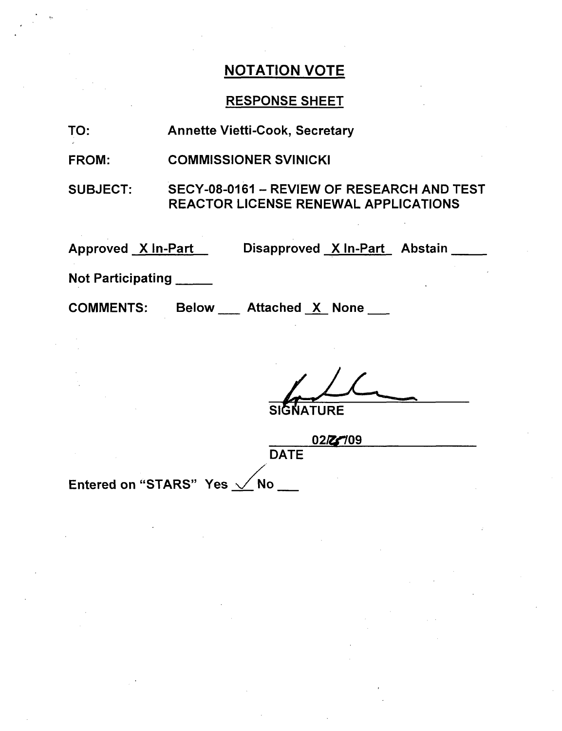# RESPONSE SHEET

TO: Annette Vietti-Cook, Secretary

FROM: COMMISSIONER SVINICKI

SUBJECT: SECY-08-0161 - REVIEW OF RESEARCH AND TEST REACTOR LICENSE RENEWAL APPLICATIONS

Approved X In-Part

Disapproved X In-Part Abstain

Not Participating

COMMENTS:

Below \_\_\_ Attached X None \_\_

**SIGNATURE** 

02/27/09

**DATE** 

Entered on "STARS" Yes  $\sqrt{}$  No